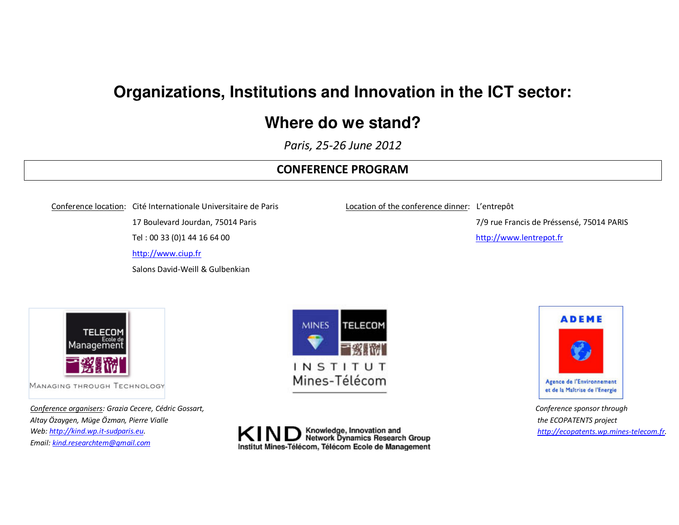# **Organizations, Institutions and Innovation in the ICT sector:**

## **Where do we stand?**

*Paris, 25-26 June 2012* 

#### **CONFERENCE PROGRAM**

Conference location: Cité Internationale Universitaire de Paris 17 Boulevard Jourdan, 75014 Paris Tel : 00 33 (0)1 44 16 64 00

http://www.ciup.fr

Salons David-Weill & Gulbenkian

Location of the conference dinner: L'entrepôt

7/9 rue Francis de Préssensé, 75014 PARIS

http://www.lentrepot.fr



MANAGING THROUGH TECHNOLOGY

*Conference organisers: Grazia Cecere, Cédric Gossart, Altay Özaygen, Müge Özman, Pierre Vialle Web: http://kind.wp.it-sudparis.eu. Email: kind.researchtem@gmail.com*





*Conference sponsor through the ECOPATENTS project http://ecopatents.wp.mines-telecom.fr.* 

Knowledge, Innovation and<br>Network Dynamics Research Group Institut Mines-Télécom, Télécom Ecole de Management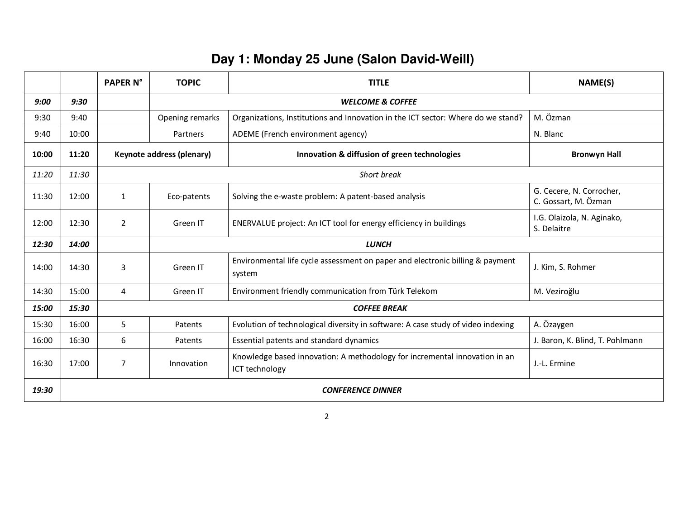### **Day 1: Monday 25 June (Salon David-Weill)**

|       |       | <b>PAPER N°</b>          | <b>TOPIC</b>                | <b>TITLE</b>                                                                                 | <b>NAME(S)</b>                                   |  |
|-------|-------|--------------------------|-----------------------------|----------------------------------------------------------------------------------------------|--------------------------------------------------|--|
| 9:00  | 9:30  |                          | <b>WELCOME &amp; COFFEE</b> |                                                                                              |                                                  |  |
| 9:30  | 9:40  |                          | Opening remarks             | Organizations, Institutions and Innovation in the ICT sector: Where do we stand?             | M. Özman                                         |  |
| 9:40  | 10:00 |                          | Partners                    | ADEME (French environment agency)                                                            | N. Blanc                                         |  |
| 10:00 | 11:20 |                          | Keynote address (plenary)   | Innovation & diffusion of green technologies                                                 | <b>Bronwyn Hall</b>                              |  |
| 11:20 | 11:30 |                          |                             | Short break                                                                                  |                                                  |  |
| 11:30 | 12:00 | $\mathbf{1}$             | Eco-patents                 | Solving the e-waste problem: A patent-based analysis                                         | G. Cecere, N. Corrocher,<br>C. Gossart, M. Özman |  |
| 12:00 | 12:30 | $\overline{2}$           | Green IT                    | ENERVALUE project: An ICT tool for energy efficiency in buildings                            | I.G. Olaizola, N. Aginako,<br>S. Delaitre        |  |
| 12:30 | 14:00 |                          | <b>LUNCH</b>                |                                                                                              |                                                  |  |
| 14:00 | 14:30 | 3                        | Green IT                    | Environmental life cycle assessment on paper and electronic billing & payment<br>system      | J. Kim, S. Rohmer                                |  |
| 14:30 | 15:00 | 4                        | Green IT                    | Environment friendly communication from Türk Telekom                                         | M. Veziroğlu                                     |  |
| 15:00 | 15:30 |                          | <b>COFFEE BREAK</b>         |                                                                                              |                                                  |  |
| 15:30 | 16:00 | 5.                       | Patents                     | Evolution of technological diversity in software: A case study of video indexing             | A. Özaygen                                       |  |
| 16:00 | 16:30 | 6                        | Patents                     | Essential patents and standard dynamics                                                      | J. Baron, K. Blind, T. Pohlmann                  |  |
| 16:30 | 17:00 | $\overline{7}$           | Innovation                  | Knowledge based innovation: A methodology for incremental innovation in an<br>ICT technology | J.-L. Ermine                                     |  |
| 19:30 |       | <b>CONFERENCE DINNER</b> |                             |                                                                                              |                                                  |  |

2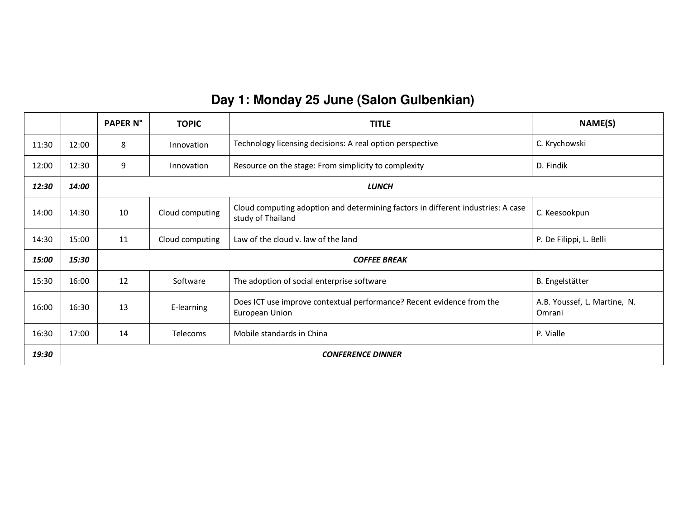#### **Day 1: Monday 25 June (Salon Gulbenkian)**

|       |                          | <b>PAPER N°</b> | <b>TOPIC</b>        | <b>TITLE</b>                                                                                          | NAME(S)                                |  |
|-------|--------------------------|-----------------|---------------------|-------------------------------------------------------------------------------------------------------|----------------------------------------|--|
| 11:30 | 12:00                    | 8               | Innovation          | Technology licensing decisions: A real option perspective                                             | C. Krychowski                          |  |
| 12:00 | 12:30                    | 9               | Innovation          | Resource on the stage: From simplicity to complexity                                                  | D. Findik                              |  |
| 12:30 | 14:00                    |                 | <b>LUNCH</b>        |                                                                                                       |                                        |  |
| 14:00 | 14:30                    | 10              | Cloud computing     | Cloud computing adoption and determining factors in different industries: A case<br>study of Thailand | C. Keesookpun                          |  |
| 14:30 | 15:00                    | 11              | Cloud computing     | Law of the cloud v. law of the land                                                                   | P. De Filippi, L. Belli                |  |
| 15:00 | 15:30                    |                 | <b>COFFEE BREAK</b> |                                                                                                       |                                        |  |
| 15:30 | 16:00                    | 12              | Software            | The adoption of social enterprise software                                                            | B. Engelstätter                        |  |
| 16:00 | 16:30                    | 13              | E-learning          | Does ICT use improve contextual performance? Recent evidence from the<br>European Union               | A.B. Youssef, L. Martine, N.<br>Omrani |  |
| 16:30 | 17:00                    | 14              | Telecoms            | Mobile standards in China                                                                             | P. Vialle                              |  |
| 19:30 | <b>CONFERENCE DINNER</b> |                 |                     |                                                                                                       |                                        |  |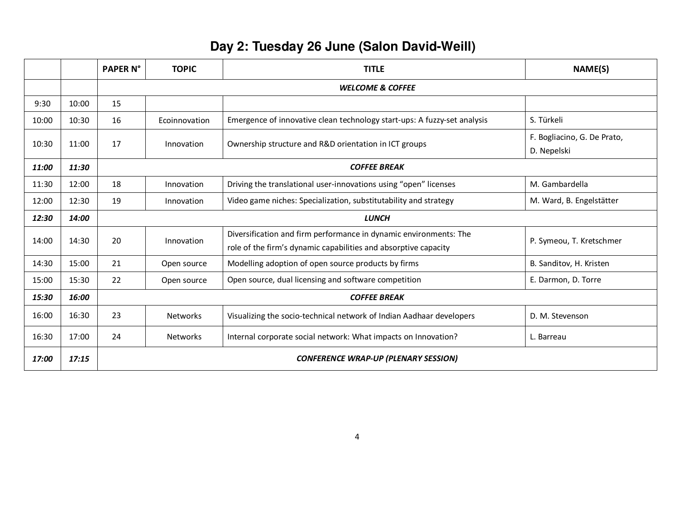## **Day 2: Tuesday 26 June (Salon David-Weill)**

|       |       | <b>PAPER N°</b>                             | <b>TOPIC</b>        | <b>TITLE</b>                                                                                                                         | <b>NAME(S)</b>                             |
|-------|-------|---------------------------------------------|---------------------|--------------------------------------------------------------------------------------------------------------------------------------|--------------------------------------------|
|       |       | <b>WELCOME &amp; COFFEE</b>                 |                     |                                                                                                                                      |                                            |
| 9:30  | 10:00 | 15                                          |                     |                                                                                                                                      |                                            |
| 10:00 | 10:30 | 16                                          | Ecoinnovation       | Emergence of innovative clean technology start-ups: A fuzzy-set analysis                                                             | S. Türkeli                                 |
| 10:30 | 11:00 | 17                                          | Innovation          | Ownership structure and R&D orientation in ICT groups                                                                                | F. Bogliacino, G. De Prato,<br>D. Nepelski |
| 11:00 | 11:30 |                                             | <b>COFFEE BREAK</b> |                                                                                                                                      |                                            |
| 11:30 | 12:00 | 18                                          | Innovation          | Driving the translational user-innovations using "open" licenses                                                                     | M. Gambardella                             |
| 12:00 | 12:30 | 19                                          | Innovation          | Video game niches: Specialization, substitutability and strategy                                                                     | M. Ward, B. Engelstätter                   |
| 12:30 | 14:00 |                                             | <b>LUNCH</b>        |                                                                                                                                      |                                            |
| 14:00 | 14:30 | 20                                          | Innovation          | Diversification and firm performance in dynamic environments: The<br>role of the firm's dynamic capabilities and absorptive capacity | P. Symeou, T. Kretschmer                   |
| 14:30 | 15:00 | 21                                          | Open source         | Modelling adoption of open source products by firms                                                                                  | B. Sanditov, H. Kristen                    |
| 15:00 | 15:30 | 22                                          | Open source         | Open source, dual licensing and software competition                                                                                 | E. Darmon, D. Torre                        |
| 15:30 | 16:00 |                                             | <b>COFFEE BREAK</b> |                                                                                                                                      |                                            |
| 16:00 | 16:30 | 23                                          | <b>Networks</b>     | Visualizing the socio-technical network of Indian Aadhaar developers                                                                 | D. M. Stevenson                            |
| 16:30 | 17:00 | 24                                          | <b>Networks</b>     | Internal corporate social network: What impacts on Innovation?                                                                       | L. Barreau                                 |
| 17:00 | 17:15 | <b>CONFERENCE WRAP-UP (PLENARY SESSION)</b> |                     |                                                                                                                                      |                                            |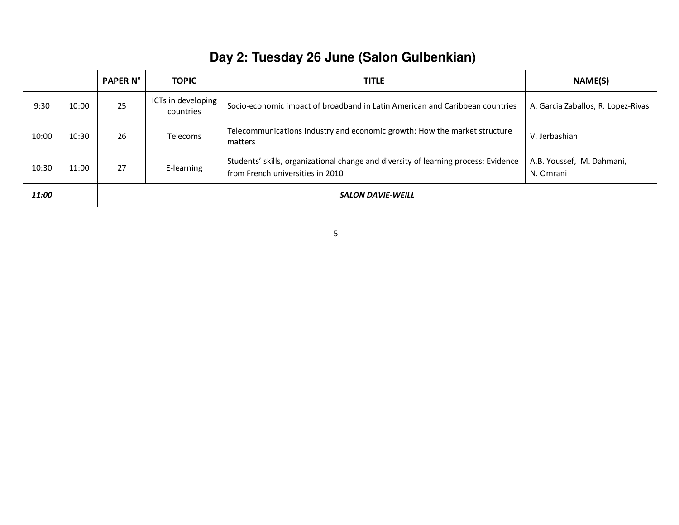## **Day 2: Tuesday 26 June (Salon Gulbenkian)**

|       |       | <b>PAPER N°</b>          | <b>TOPIC</b>                    | <b>TITLE</b>                                                                                                            | NAME(S)                                |
|-------|-------|--------------------------|---------------------------------|-------------------------------------------------------------------------------------------------------------------------|----------------------------------------|
| 9:30  | 10:00 | 25                       | ICTs in developing<br>countries | Socio-economic impact of broadband in Latin American and Caribbean countries                                            | A. Garcia Zaballos, R. Lopez-Rivas     |
| 10:00 | 10:30 | 26                       | <b>Telecoms</b>                 | Telecommunications industry and economic growth: How the market structure<br>matters                                    | V. Jerbashian                          |
| 10:30 | 11:00 | 27                       | E-learning                      | Students' skills, organizational change and diversity of learning process: Evidence<br>from French universities in 2010 | A.B. Youssef, M. Dahmani,<br>N. Omrani |
| 11:00 |       | <b>SALON DAVIE-WEILL</b> |                                 |                                                                                                                         |                                        |

5